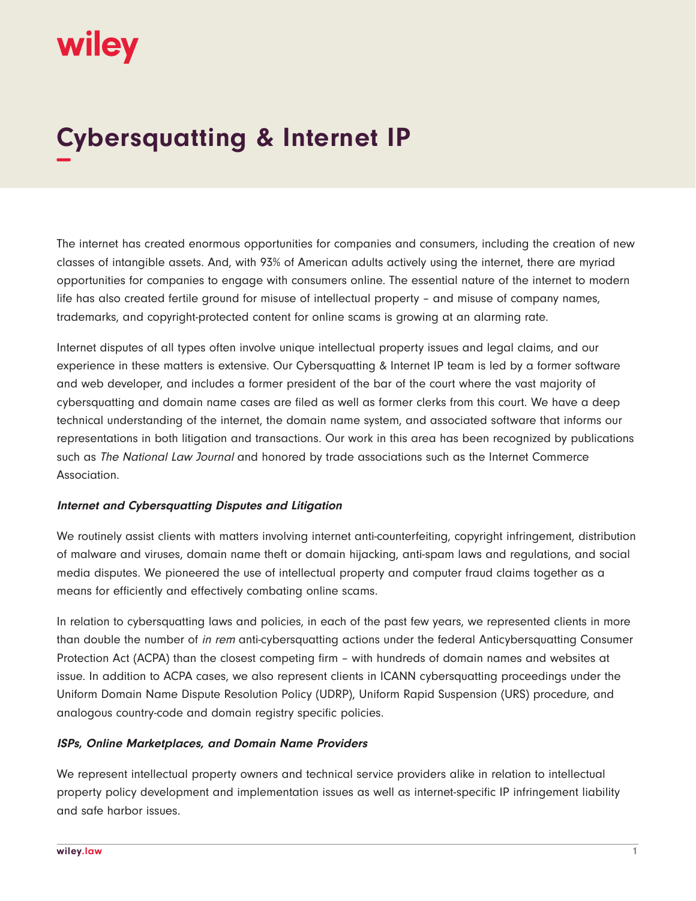# wiley

## **Cybersquatting & Internet IP −**

The internet has created enormous opportunities for companies and consumers, including the creation of new classes of intangible assets. And, with 93% of American adults actively using the internet, there are myriad opportunities for companies to engage with consumers online. The essential nature of the internet to modern life has also created fertile ground for misuse of intellectual property – and misuse of company names, trademarks, and copyright-protected content for online scams is growing at an alarming rate.

Internet disputes of all types often involve unique intellectual property issues and legal claims, and our experience in these matters is extensive. Our Cybersquatting & Internet IP team is led by a former software and web developer, and includes a former president of the bar of the court where the vast majority of cybersquatting and domain name cases are filed as well as former clerks from this court. We have a deep technical understanding of the internet, the domain name system, and associated software that informs our representations in both litigation and transactions. Our work in this area has been recognized by publications such as The National Law Journal and honored by trade associations such as the Internet Commerce Association.

#### **Internet and Cybersquatting Disputes and Litigation**

We routinely assist clients with matters involving internet anti-counterfeiting, copyright infringement, distribution of malware and viruses, domain name theft or domain hijacking, anti-spam laws and regulations, and social media disputes. We pioneered the use of intellectual property and computer fraud claims together as a means for efficiently and effectively combating online scams.

In relation to cybersquatting laws and policies, in each of the past few years, we represented clients in more than double the number of in rem anti-cybersquatting actions under the federal Anticybersquatting Consumer Protection Act (ACPA) than the closest competing firm – with hundreds of domain names and websites at issue. In addition to ACPA cases, we also represent clients in ICANN cybersquatting proceedings under the Uniform Domain Name Dispute Resolution Policy (UDRP), Uniform Rapid Suspension (URS) procedure, and analogous country-code and domain registry specific policies.

#### **ISPs, Online Marketplaces, and Domain Name Providers**

We represent intellectual property owners and technical service providers alike in relation to intellectual property policy development and implementation issues as well as internet-specific IP infringement liability and safe harbor issues.